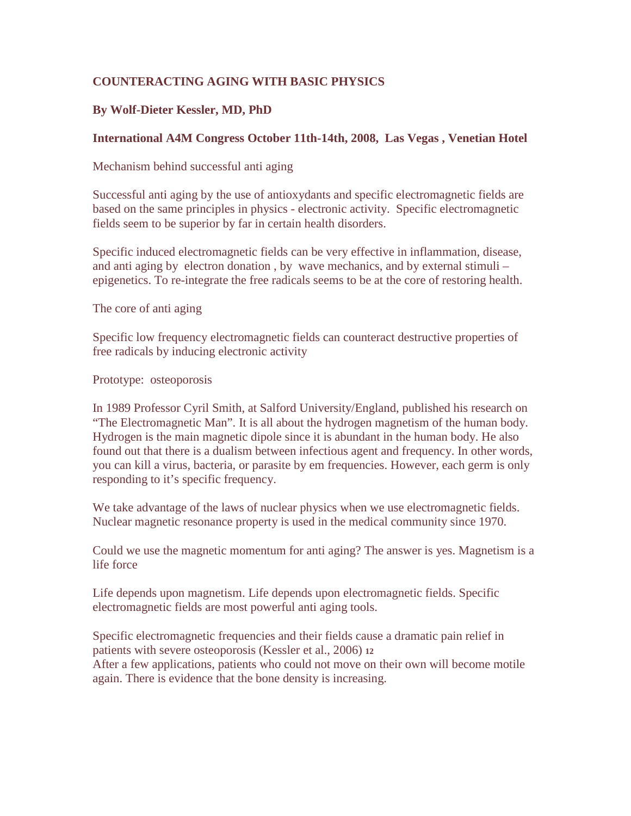## **COUNTERACTING AGING WITH BASIC PHYSICS**

### **By Wolf-Dieter Kessler, MD, PhD**

#### **International A4M Congress October 11th-14th, 2008, Las Vegas , Venetian Hotel**

Mechanism behind successful anti aging

Successful anti aging by the use of antioxydants and specific electromagnetic fields are based on the same principles in physics - electronic activity. Specific electromagnetic fields seem to be superior by far in certain health disorders.

Specific induced electromagnetic fields can be very effective in inflammation, disease, and anti aging by electron donation , by wave mechanics, and by external stimuli – epigenetics. To re-integrate the free radicals seems to be at the core of restoring health.

The core of anti aging

Specific low frequency electromagnetic fields can counteract destructive properties of free radicals by inducing electronic activity

Prototype: osteoporosis

In 1989 Professor Cyril Smith, at Salford University/England, published his research on "The Electromagnetic Man". It is all about the hydrogen magnetism of the human body. Hydrogen is the main magnetic dipole since it is abundant in the human body. He also found out that there is a dualism between infectious agent and frequency. In other words, you can kill a virus, bacteria, or parasite by em frequencies. However, each germ is only responding to it's specific frequency.

We take advantage of the laws of nuclear physics when we use electromagnetic fields. Nuclear magnetic resonance property is used in the medical community since 1970.

Could we use the magnetic momentum for anti aging? The answer is yes. Magnetism is a life force

Life depends upon magnetism. Life depends upon electromagnetic fields. Specific electromagnetic fields are most powerful anti aging tools.

Specific electromagnetic frequencies and their fields cause a dramatic pain relief in patients with severe osteoporosis (Kessler et al., 2006) **<sup>12</sup>** After a few applications, patients who could not move on their own will become motile again. There is evidence that the bone density is increasing.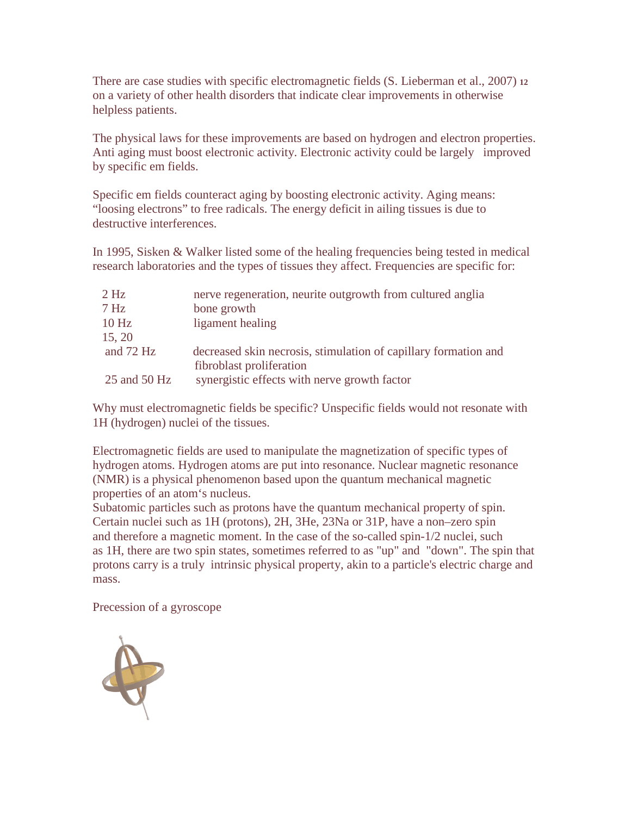There are case studies with specific electromagnetic fields (S. Lieberman et al., 2007) **<sup>12</sup>** on a variety of other health disorders that indicate clear improvements in otherwise helpless patients.

The physical laws for these improvements are based on hydrogen and electron properties. Anti aging must boost electronic activity. Electronic activity could be largely improved by specific em fields.

Specific em fields counteract aging by boosting electronic activity. Aging means: "loosing electrons" to free radicals. The energy deficit in ailing tissues is due to destructive interferences.

In 1995, Sisken & Walker listed some of the healing frequencies being tested in medical research laboratories and the types of tissues they affect. Frequencies are specific for:

| $2$ Hz           | nerve regeneration, neurite outgrowth from cultured anglia                                  |
|------------------|---------------------------------------------------------------------------------------------|
| 7 <sub>Hz</sub>  | bone growth                                                                                 |
| 10 <sub>Hz</sub> | ligament healing                                                                            |
| 15, 20           |                                                                                             |
| and $72$ Hz      | decreased skin necrosis, stimulation of capillary formation and<br>fibroblast proliferation |
| 25 and 50 Hz     | synergistic effects with nerve growth factor                                                |

Why must electromagnetic fields be specific? Unspecific fields would not resonate with 1H (hydrogen) nuclei of the tissues.

Electromagnetic fields are used to manipulate the magnetization of specific types of hydrogen atoms. Hydrogen atoms are put into resonance. Nuclear magnetic resonance (NMR) is a physical phenomenon based upon the quantum mechanical magnetic properties of an atom's nucleus.

Subatomic particles such as protons have the quantum mechanical property of spin. Certain nuclei such as 1H (protons), 2H, 3He, 23Na or 31P, have a non–zero spin and therefore a magnetic moment. In the case of the so-called spin-1/2 nuclei, such as 1H, there are two spin states, sometimes referred to as "up" and "down". The spin that protons carry is a truly intrinsic physical property, akin to a particle's electric charge and mass.

Precession of a gyroscope

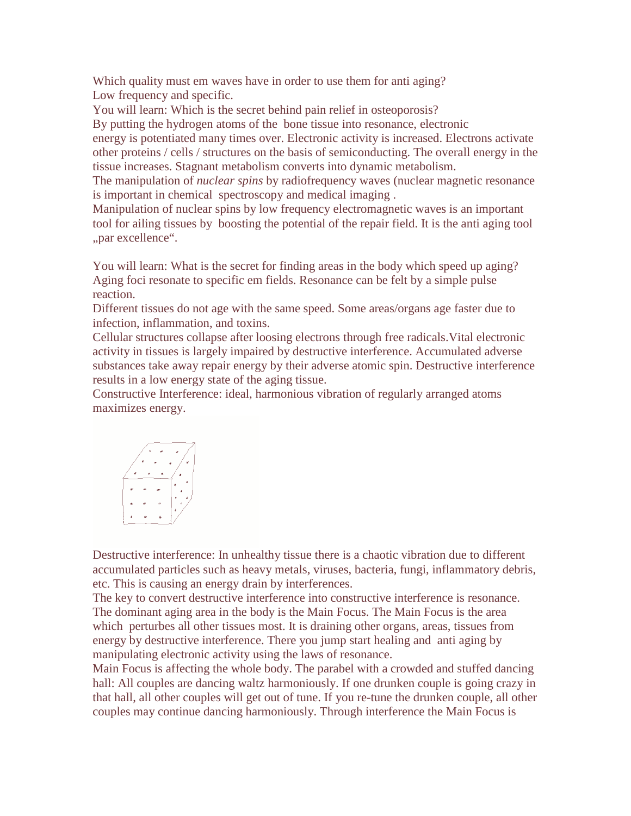Which quality must em waves have in order to use them for anti aging? Low frequency and specific.

You will learn: Which is the secret behind pain relief in osteoporosis?

By putting the hydrogen atoms of the bone tissue into resonance, electronic energy is potentiated many times over. Electronic activity is increased. Electrons activate other proteins / cells / structures on the basis of semiconducting. The overall energy in the tissue increases. Stagnant metabolism converts into dynamic metabolism.

The manipulation of *nuclear spins* by radiofrequency waves (nuclear magnetic resonance is important in chemical spectroscopy and medical imaging .

Manipulation of nuclear spins by low frequency electromagnetic waves is an important tool for ailing tissues by boosting the potential of the repair field. It is the anti aging tool "par excellence".

You will learn: What is the secret for finding areas in the body which speed up aging? Aging foci resonate to specific em fields. Resonance can be felt by a simple pulse reaction.

Different tissues do not age with the same speed. Some areas/organs age faster due to infection, inflammation, and toxins.

Cellular structures collapse after loosing electrons through free radicals.Vital electronic activity in tissues is largely impaired by destructive interference. Accumulated adverse substances take away repair energy by their adverse atomic spin. Destructive interference results in a low energy state of the aging tissue.

Constructive Interference: ideal, harmonious vibration of regularly arranged atoms maximizes energy.

$$
\begin{array}{|c|c|} \hline \cdot & \cdot & \cdot & \cdot \\ \hline \cdot & \cdot & \cdot & \cdot \\ \hline \cdot & \cdot & \cdot & \cdot \\ \hline \cdot & \cdot & \cdot & \cdot \\ \hline \cdot & \cdot & \cdot & \cdot \\ \hline \cdot & \cdot & \cdot & \cdot \end{array}
$$

Destructive interference: In unhealthy tissue there is a chaotic vibration due to different accumulated particles such as heavy metals, viruses, bacteria, fungi, inflammatory debris, etc. This is causing an energy drain by interferences.

The key to convert destructive interference into constructive interference is resonance. The dominant aging area in the body is the Main Focus. The Main Focus is the area which perturbes all other tissues most. It is draining other organs, areas, tissues from energy by destructive interference. There you jump start healing and anti aging by manipulating electronic activity using the laws of resonance.

Main Focus is affecting the whole body. The parabel with a crowded and stuffed dancing hall: All couples are dancing waltz harmoniously. If one drunken couple is going crazy in that hall, all other couples will get out of tune. If you re-tune the drunken couple, all other couples may continue dancing harmoniously. Through interference the Main Focus is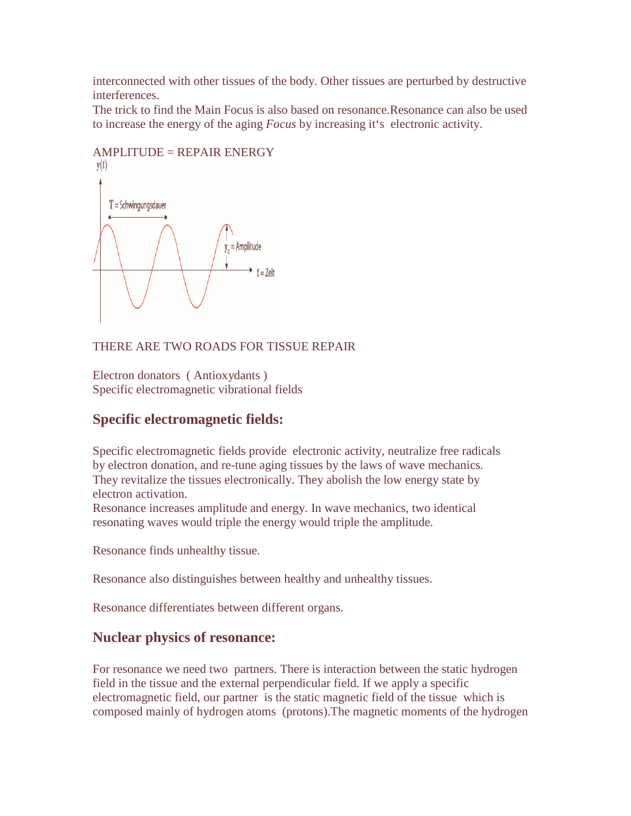interconnected with other tissues of the body. Other tissues are perturbed by destructive interferences.

The trick to find the Main Focus is also based on resonance.Resonance can also be used to increase the energy of the aging *Focus* by increasing it's electronic activity.



## $AMPLITIVE = REPAIR ENERGY$

THERE ARE TWO ROADS FOR TISSUE REPAIR

Electron donators ( Antioxydants ) Specific electromagnetic vibrational fields

## **Specific electromagnetic fields:**

Specific electromagnetic fields provide electronic activity, neutralize free radicals by electron donation, and re-tune aging tissues by the laws of wave mechanics. They revitalize the tissues electronically. They abolish the low energy state by electron activation.

Resonance increases amplitude and energy. In wave mechanics, two identical resonating waves would triple the energy would triple the amplitude.

Resonance finds unhealthy tissue.

Resonance also distinguishes between healthy and unhealthy tissues.

Resonance differentiates between different organs.

## **Nuclear physics of resonance:**

For resonance we need two partners. There is interaction between the static hydrogen field in the tissue and the external perpendicular field. If we apply a specific electromagnetic field, our partner is the static magnetic field of the tissue which is composed mainly of hydrogen atoms (protons).The magnetic moments of the hydrogen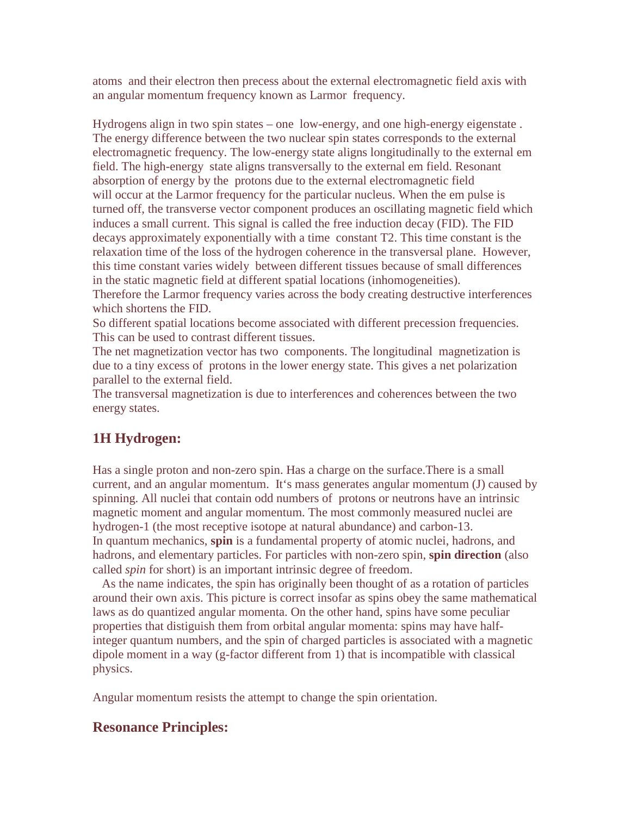atoms and their electron then precess about the external electromagnetic field axis with an angular momentum frequency known as Larmor frequency.

Hydrogens align in two spin states – one low-energy, and one high-energy eigenstate . The energy difference between the two nuclear spin states corresponds to the external electromagnetic frequency. The low-energy state aligns longitudinally to the external em field. The high-energy state aligns transversally to the external em field. Resonant absorption of energy by the protons due to the external electromagnetic field will occur at the Larmor frequency for the particular nucleus. When the em pulse is turned off, the transverse vector component produces an oscillating magnetic field which induces a small current. This signal is called the free induction decay (FID). The FID decays approximately exponentially with a time constant T2. This time constant is the relaxation time of the loss of the hydrogen coherence in the transversal plane. However, this time constant varies widely between different tissues because of small differences in the static magnetic field at different spatial locations (inhomogeneities).

Therefore the Larmor frequency varies across the body creating destructive interferences which shortens the FID.

So different spatial locations become associated with different precession frequencies. This can be used to contrast different tissues.

The net magnetization vector has two components. The longitudinal magnetization is due to a tiny excess of protons in the lower energy state. This gives a net polarization parallel to the external field.

The transversal magnetization is due to interferences and coherences between the two energy states.

# **1H Hydrogen:**

Has a single proton and non-zero spin. Has a charge on the surface.There is a small current, and an angular momentum. It's mass generates angular momentum (J) caused by spinning. All nuclei that contain odd numbers of protons or neutrons have an intrinsic magnetic moment and angular momentum. The most commonly measured nuclei are hydrogen-1 (the most receptive isotope at natural abundance) and carbon-13. In quantum mechanics, **spin** is a fundamental property of atomic nuclei, hadrons, and hadrons, and elementary particles. For particles with non-zero spin, **spin direction** (also called *spin* for short) is an important intrinsic degree of freedom.

 As the name indicates, the spin has originally been thought of as a rotation of particles around their own axis. This picture is correct insofar as spins obey the same mathematical laws as do quantized angular momenta. On the other hand, spins have some peculiar properties that distiguish them from orbital angular momenta: spins may have halfinteger quantum numbers, and the spin of charged particles is associated with a magnetic dipole moment in a way (g-factor different from 1) that is incompatible with classical physics.

Angular momentum resists the attempt to change the spin orientation.

## **Resonance Principles:**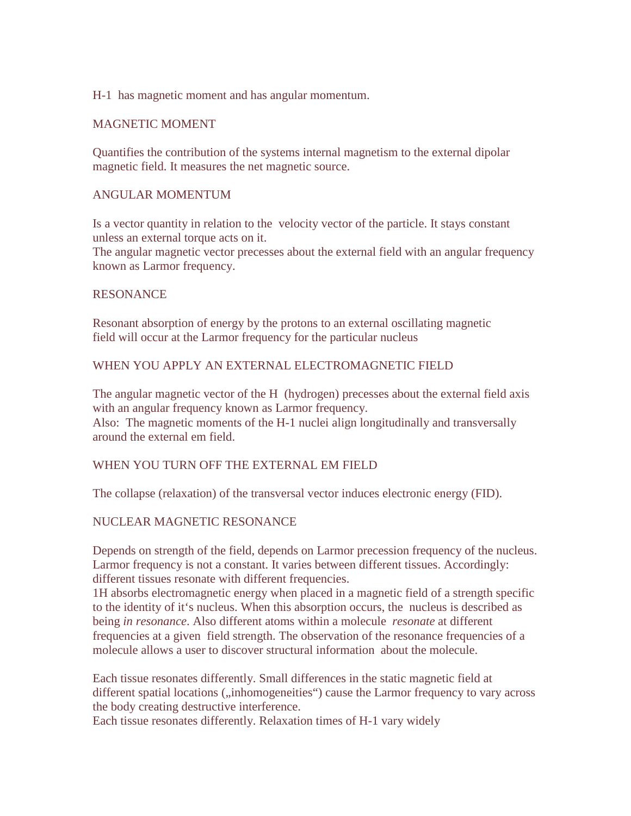#### H-1 has magnetic moment and has angular momentum.

#### MAGNETIC MOMENT

Quantifies the contribution of the systems internal magnetism to the external dipolar magnetic field. It measures the net magnetic source.

#### ANGULAR MOMENTUM

Is a vector quantity in relation to the velocity vector of the particle. It stays constant unless an external torque acts on it.

The angular magnetic vector precesses about the external field with an angular frequency known as Larmor frequency.

#### **RESONANCE**

Resonant absorption of energy by the protons to an external oscillating magnetic field will occur at the Larmor frequency for the particular nucleus

#### WHEN YOU APPLY AN EXTERNAL ELECTROMAGNETIC FIELD

The angular magnetic vector of the H (hydrogen) precesses about the external field axis with an angular frequency known as Larmor frequency. Also: The magnetic moments of the H-1 nuclei align longitudinally and transversally around the external em field.

#### WHEN YOU TURN OFF THE EXTERNAL EM FIELD

The collapse (relaxation) of the transversal vector induces electronic energy (FID).

#### NUCLEAR MAGNETIC RESONANCE

Depends on strength of the field, depends on Larmor precession frequency of the nucleus. Larmor frequency is not a constant. It varies between different tissues. Accordingly: different tissues resonate with different frequencies.

1H absorbs electromagnetic energy when placed in a magnetic field of a strength specific to the identity of it's nucleus. When this absorption occurs, the nucleus is described as being *in resonance*. Also different atoms within a molecule *resonate* at different frequencies at a given field strength. The observation of the resonance frequencies of a molecule allows a user to discover structural information about the molecule.

Each tissue resonates differently. Small differences in the static magnetic field at different spatial locations ("inhomogeneities") cause the Larmor frequency to vary across the body creating destructive interference.

Each tissue resonates differently. Relaxation times of H-1 vary widely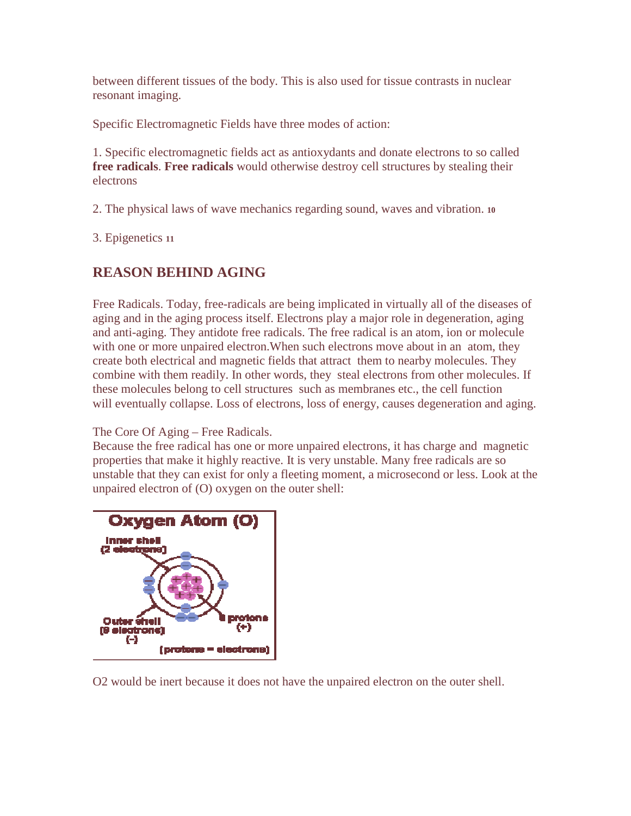between different tissues of the body. This is also used for tissue contrasts in nuclear resonant imaging.

Specific Electromagnetic Fields have three modes of action:

1. Specific electromagnetic fields act as antioxydants and donate electrons to so called **free radicals**. **Free radicals** would otherwise destroy cell structures by stealing their electrons

2. The physical laws of wave mechanics regarding sound, waves and vibration. **<sup>10</sup>** 

3. Epigenetics **<sup>11</sup>**

# **REASON BEHIND AGING**

Free Radicals. Today, free-radicals are being implicated in virtually all of the diseases of aging and in the aging process itself. Electrons play a major role in degeneration, aging and anti-aging. They antidote free radicals. The free radical is an atom, ion or molecule with one or more unpaired electron.When such electrons move about in an atom, they create both electrical and magnetic fields that attract them to nearby molecules. They combine with them readily. In other words, they steal electrons from other molecules. If these molecules belong to cell structures such as membranes etc., the cell function will eventually collapse. Loss of electrons, loss of energy, causes degeneration and aging.

The Core Of Aging – Free Radicals.

Because the free radical has one or more unpaired electrons, it has charge and magnetic properties that make it highly reactive. It is very unstable. Many free radicals are so unstable that they can exist for only a fleeting moment, a microsecond or less. Look at the unpaired electron of (O) oxygen on the outer shell:



O2 would be inert because it does not have the unpaired electron on the outer shell.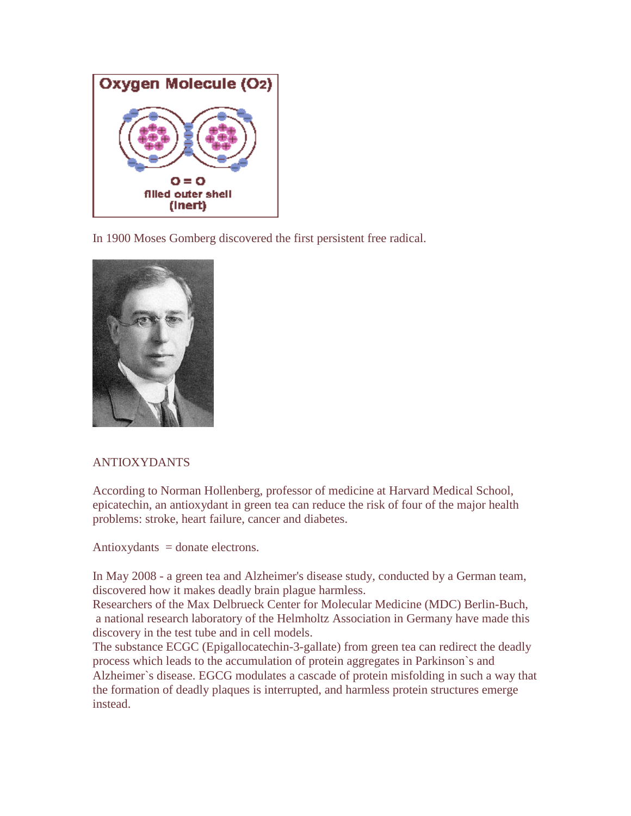

In 1900 Moses Gomberg discovered the first persistent free radical.



## ANTIOXYDANTS

According to Norman Hollenberg, professor of medicine at Harvard Medical School, epicatechin, an antioxydant in green tea can reduce the risk of four of the major health problems: stroke, heart failure, cancer and diabetes.

Antioxydants  $=$  donate electrons.

In May 2008 - a green tea and Alzheimer's disease study, conducted by a German team, discovered how it makes deadly brain plague harmless.

Researchers of the Max Delbrueck Center for Molecular Medicine (MDC) Berlin-Buch, a national research laboratory of the Helmholtz Association in Germany have made this discovery in the test tube and in cell models.

The substance ECGC (Epigallocatechin-3-gallate) from green tea can redirect the deadly process which leads to the accumulation of protein aggregates in Parkinson`s and Alzheimer`s disease. EGCG modulates a cascade of protein misfolding in such a way that the formation of deadly plaques is interrupted, and harmless protein structures emerge instead.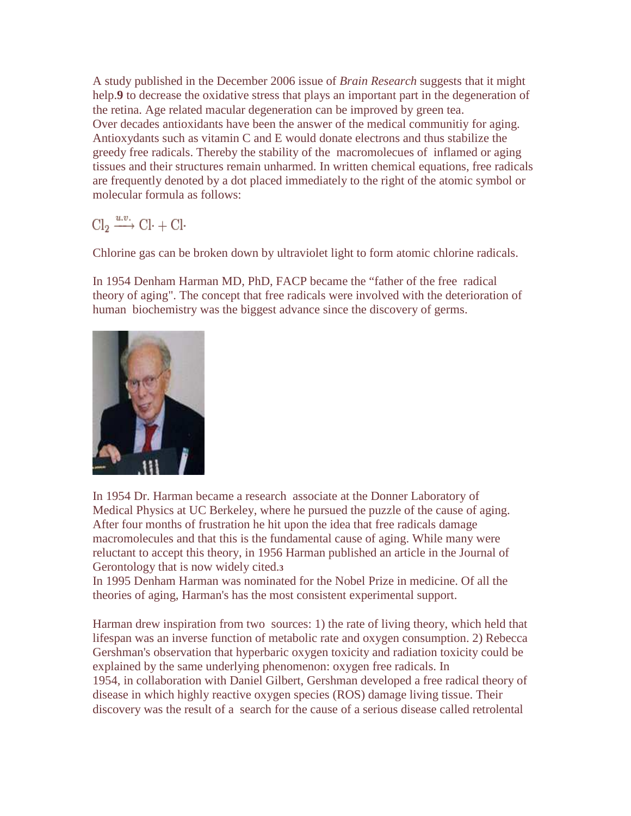A study published in the December 2006 issue of *Brain Research* suggests that it might help. **9** to decrease the oxidative stress that plays an important part in the degeneration of the retina. Age related macular degeneration can be improved by green tea. Over decades antioxidants have been the answer of the medical communitiy for aging. Antioxydants such as vitamin C and E would donate electrons and thus stabilize the greedy free radicals. Thereby the stability of the macromolecues of inflamed or aging tissues and their structures remain unharmed. In written chemical equations, free radicals are frequently denoted by a dot placed immediately to the right of the atomic symbol or molecular formula as follows:

 $Cl_2 \xrightarrow{u.v.} Cl \cdot + Cl$ 

Chlorine gas can be broken down by ultraviolet light to form atomic chlorine radicals.

In 1954 Denham Harman MD, PhD, FACP became the "father of the free radical theory of aging". The concept that free radicals were involved with the deterioration of human biochemistry was the biggest advance since the discovery of germs.



In 1954 Dr. Harman became a research associate at the Donner Laboratory of Medical Physics at UC Berkeley, where he pursued the puzzle of the cause of aging. After four months of frustration he hit upon the idea that free radicals damage macromolecules and that this is the fundamental cause of aging. While many were reluctant to accept this theory, in 1956 Harman published an article in the Journal of Gerontology that is now widely cited.**<sup>3</sup>**

In 1995 Denham Harman was nominated for the Nobel Prize in medicine. Of all the theories of aging, Harman's has the most consistent experimental support.

Harman drew inspiration from two sources: 1) the rate of living theory, which held that lifespan was an inverse function of metabolic rate and oxygen consumption. 2) Rebecca Gershman's observation that hyperbaric oxygen toxicity and radiation toxicity could be explained by the same underlying phenomenon: oxygen free radicals. In 1954, in collaboration with Daniel Gilbert, Gershman developed a free radical theory of disease in which highly reactive oxygen species (ROS) damage living tissue. Their discovery was the result of a search for the cause of a serious disease called retrolental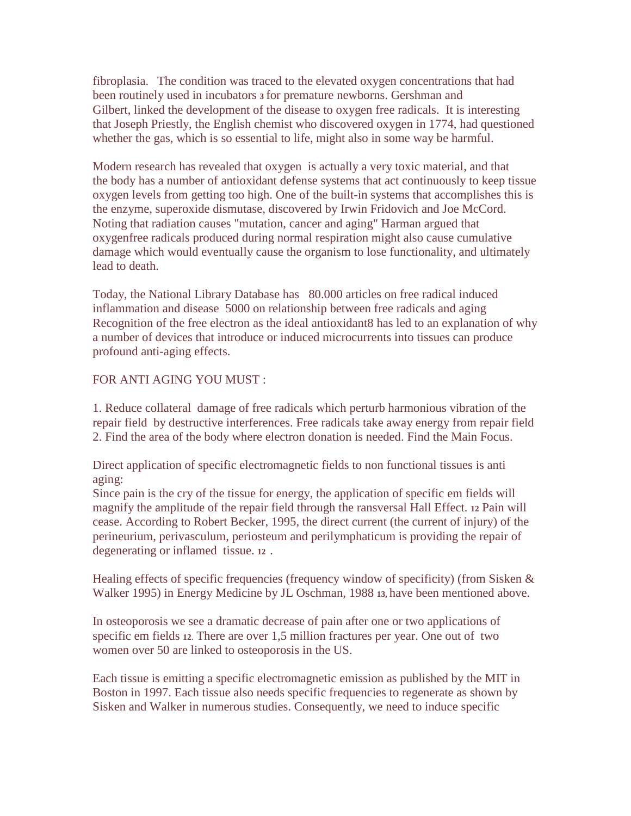fibroplasia. The condition was traced to the elevated oxygen concentrations that had been routinely used in incubators **3** for premature newborns. Gershman and Gilbert, linked the development of the disease to oxygen free radicals. It is interesting that Joseph Priestly, the English chemist who discovered oxygen in 1774, had questioned whether the gas, which is so essential to life, might also in some way be harmful.

Modern research has revealed that oxygen is actually a very toxic material, and that the body has a number of antioxidant defense systems that act continuously to keep tissue oxygen levels from getting too high. One of the built-in systems that accomplishes this is the enzyme, superoxide dismutase, discovered by Irwin Fridovich and Joe McCord. Noting that radiation causes "mutation, cancer and aging" Harman argued that oxygenfree radicals produced during normal respiration might also cause cumulative damage which would eventually cause the organism to lose functionality, and ultimately lead to death.

Today, the National Library Database has 80.000 articles on free radical induced inflammation and disease 5000 on relationship between free radicals and aging Recognition of the free electron as the ideal antioxidant8 has led to an explanation of why a number of devices that introduce or induced microcurrents into tissues can produce profound anti-aging effects.

### FOR ANTI AGING YOU MUST :

1. Reduce collateral damage of free radicals which perturb harmonious vibration of the repair field by destructive interferences. Free radicals take away energy from repair field 2. Find the area of the body where electron donation is needed. Find the Main Focus.

Direct application of specific electromagnetic fields to non functional tissues is anti aging:

Since pain is the cry of the tissue for energy, the application of specific em fields will magnify the amplitude of the repair field through the ransversal Hall Effect. **12** Pain will cease. According to Robert Becker, 1995, the direct current (the current of injury) of the perineurium, perivasculum, periosteum and perilymphaticum is providing the repair of degenerating or inflamed tissue. **12** .

Healing effects of specific frequencies (frequency window of specificity) (from Sisken & Walker 1995) in Energy Medicine by JL Oschman, 1988 **13,** have been mentioned above.

In osteoporosis we see a dramatic decrease of pain after one or two applications of specific em fields **<sup>12</sup>**. There are over 1,5 million fractures per year. One out of two women over 50 are linked to osteoporosis in the US.

Each tissue is emitting a specific electromagnetic emission as published by the MIT in Boston in 1997. Each tissue also needs specific frequencies to regenerate as shown by Sisken and Walker in numerous studies. Consequently, we need to induce specific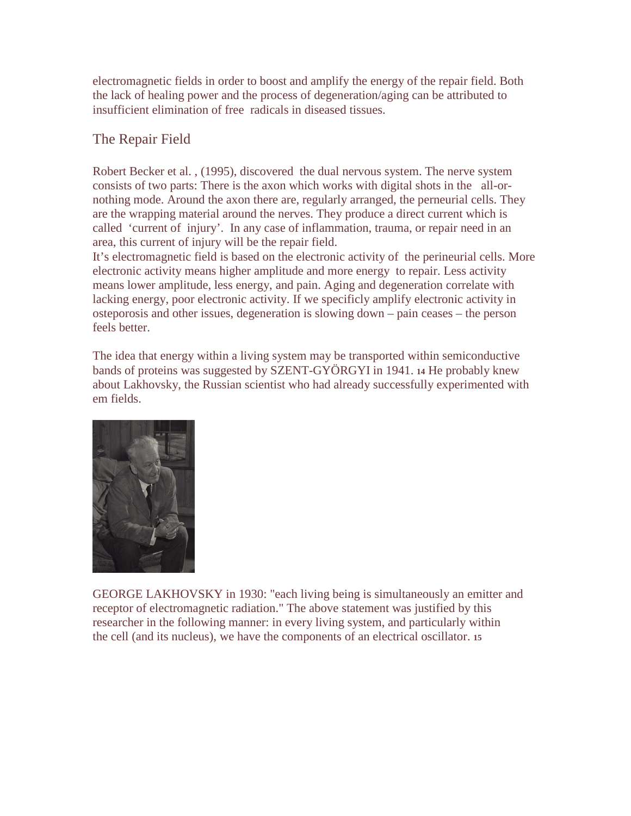electromagnetic fields in order to boost and amplify the energy of the repair field. Both the lack of healing power and the process of degeneration/aging can be attributed to insufficient elimination of free radicals in diseased tissues.

## The Repair Field

Robert Becker et al. , (1995), discovered the dual nervous system. The nerve system consists of two parts: There is the axon which works with digital shots in the all-ornothing mode. Around the axon there are, regularly arranged, the perneurial cells. They are the wrapping material around the nerves. They produce a direct current which is called 'current of injury'. In any case of inflammation, trauma, or repair need in an area, this current of injury will be the repair field.

It's electromagnetic field is based on the electronic activity of the perineurial cells. More electronic activity means higher amplitude and more energy to repair. Less activity means lower amplitude, less energy, and pain. Aging and degeneration correlate with lacking energy, poor electronic activity. If we specificly amplify electronic activity in osteporosis and other issues, degeneration is slowing down – pain ceases – the person feels better.

The idea that energy within a living system may be transported within semiconductive bands of proteins was suggested by SZENT-GYÖRGYI in 1941. **14** He probably knew about Lakhovsky, the Russian scientist who had already successfully experimented with em fields.



GEORGE LAKHOVSKY in 1930: "each living being is simultaneously an emitter and receptor of electromagnetic radiation." The above statement was justified by this researcher in the following manner: in every living system, and particularly within the cell (and its nucleus), we have the components of an electrical oscillator. **15**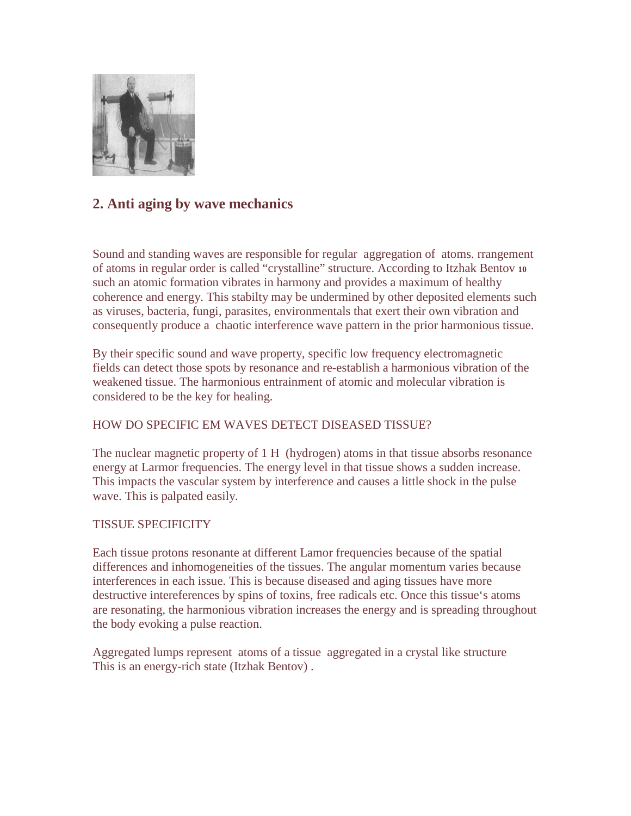

# **2. Anti aging by wave mechanics**

Sound and standing waves are responsible for regular aggregation of atoms. rrangement of atoms in regular order is called "crystalline" structure. According to Itzhak Bentov **<sup>10</sup>** such an atomic formation vibrates in harmony and provides a maximum of healthy coherence and energy. This stabilty may be undermined by other deposited elements such as viruses, bacteria, fungi, parasites, environmentals that exert their own vibration and consequently produce a chaotic interference wave pattern in the prior harmonious tissue.

By their specific sound and wave property, specific low frequency electromagnetic fields can detect those spots by resonance and re-establish a harmonious vibration of the weakened tissue. The harmonious entrainment of atomic and molecular vibration is considered to be the key for healing.

## HOW DO SPECIFIC EM WAVES DETECT DISEASED TISSUE?

The nuclear magnetic property of 1 H (hydrogen) atoms in that tissue absorbs resonance energy at Larmor frequencies. The energy level in that tissue shows a sudden increase. This impacts the vascular system by interference and causes a little shock in the pulse wave. This is palpated easily.

## TISSUE SPECIFICITY

Each tissue protons resonante at different Lamor frequencies because of the spatial differences and inhomogeneities of the tissues. The angular momentum varies because interferences in each issue. This is because diseased and aging tissues have more destructive intereferences by spins of toxins, free radicals etc. Once this tissue's atoms are resonating, the harmonious vibration increases the energy and is spreading throughout the body evoking a pulse reaction.

Aggregated lumps represent atoms of a tissue aggregated in a crystal like structure This is an energy-rich state (Itzhak Bentov) .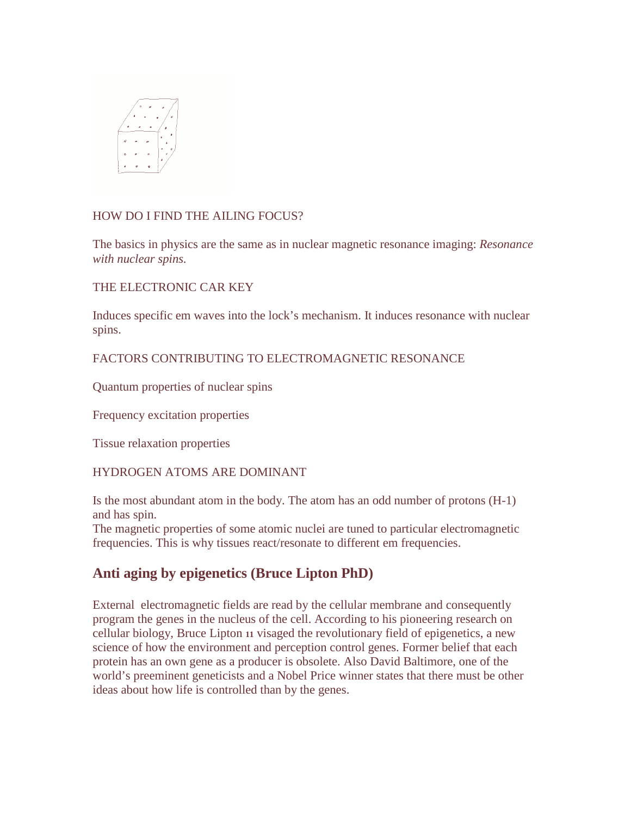

### HOW DO I FIND THE AILING FOCUS?

The basics in physics are the same as in nuclear magnetic resonance imaging: *Resonance with nuclear spins.* 

THE ELECTRONIC CAR KEY

Induces specific em waves into the lock's mechanism. It induces resonance with nuclear spins.

## FACTORS CONTRIBUTING TO ELECTROMAGNETIC RESONANCE

Quantum properties of nuclear spins

Frequency excitation properties

Tissue relaxation properties

## HYDROGEN ATOMS ARE DOMINANT

Is the most abundant atom in the body. The atom has an odd number of protons (H-1) and has spin.

The magnetic properties of some atomic nuclei are tuned to particular electromagnetic frequencies. This is why tissues react/resonate to different em frequencies.

# **Anti aging by epigenetics (Bruce Lipton PhD)**

External electromagnetic fields are read by the cellular membrane and consequently program the genes in the nucleus of the cell. According to his pioneering research on cellular biology, Bruce Lipton **11** visaged the revolutionary field of epigenetics, a new science of how the environment and perception control genes. Former belief that each protein has an own gene as a producer is obsolete. Also David Baltimore, one of the world's preeminent geneticists and a Nobel Price winner states that there must be other ideas about how life is controlled than by the genes.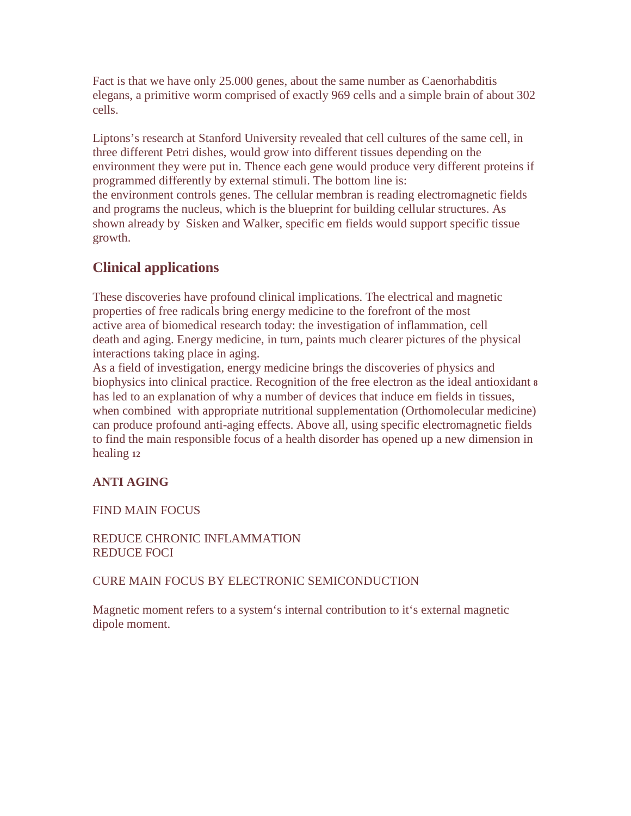Fact is that we have only 25.000 genes, about the same number as Caenorhabditis elegans, a primitive worm comprised of exactly 969 cells and a simple brain of about 302 cells.

Liptons's research at Stanford University revealed that cell cultures of the same cell, in three different Petri dishes, would grow into different tissues depending on the environment they were put in. Thence each gene would produce very different proteins if programmed differently by external stimuli. The bottom line is: the environment controls genes. The cellular membran is reading electromagnetic fields and programs the nucleus, which is the blueprint for building cellular structures. As shown already by Sisken and Walker, specific em fields would support specific tissue growth.

# **Clinical applications**

These discoveries have profound clinical implications. The electrical and magnetic properties of free radicals bring energy medicine to the forefront of the most active area of biomedical research today: the investigation of inflammation, cell death and aging. Energy medicine, in turn, paints much clearer pictures of the physical interactions taking place in aging.

As a field of investigation, energy medicine brings the discoveries of physics and biophysics into clinical practice. Recognition of the free electron as the ideal antioxidant **<sup>8</sup>** has led to an explanation of why a number of devices that induce em fields in tissues, when combined with appropriate nutritional supplementation (Orthomolecular medicine) can produce profound anti-aging effects. Above all, using specific electromagnetic fields to find the main responsible focus of a health disorder has opened up a new dimension in healing **<sup>12</sup>**

## **ANTI AGING**

FIND MAIN FOCUS

REDUCE CHRONIC INFLAMMATION REDUCE FOCI

## CURE MAIN FOCUS BY ELECTRONIC SEMICONDUCTION

Magnetic moment refers to a system's internal contribution to it's external magnetic dipole moment.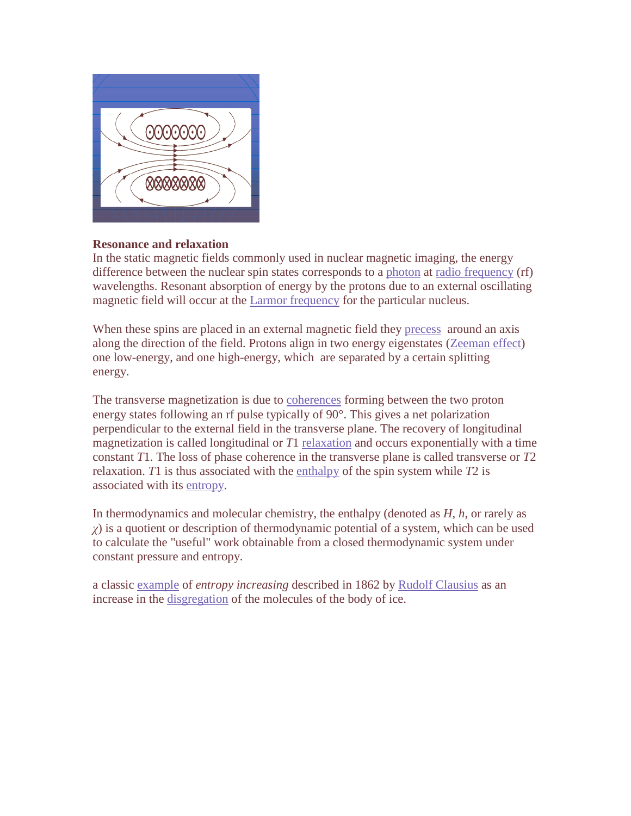

### **Resonance and relaxation**

In the static magnetic fields commonly used in nuclear magnetic imaging, the energy difference between the nuclear spin states corresponds to a photon at radio frequency (rf) wavelengths. Resonant absorption of energy by the protons due to an external oscillating magnetic field will occur at the Larmor frequency for the particular nucleus.

When these spins are placed in an external magnetic field they precess around an axis along the direction of the field. Protons align in two energy eigenstates (Zeeman effect) one low-energy, and one high-energy, which are separated by a certain splitting energy.

The transverse magnetization is due to coherences forming between the two proton energy states following an rf pulse typically of 90°. This gives a net polarization perpendicular to the external field in the transverse plane. The recovery of longitudinal magnetization is called longitudinal or *T*1 relaxation and occurs exponentially with a time constant *T*1. The loss of phase coherence in the transverse plane is called transverse or *T*2 relaxation. *T*1 is thus associated with the enthalpy of the spin system while *T*2 is associated with its entropy.

In thermodynamics and molecular chemistry, the enthalpy (denoted as *H*, *h*, or rarely as  $\chi$ ) is a quotient or description of thermodynamic potential of a system, which can be used to calculate the "useful" work obtainable from a closed thermodynamic system under constant pressure and entropy.

a classic example of *entropy increasing* described in 1862 by Rudolf Clausius as an increase in the disgregation of the molecules of the body of ice.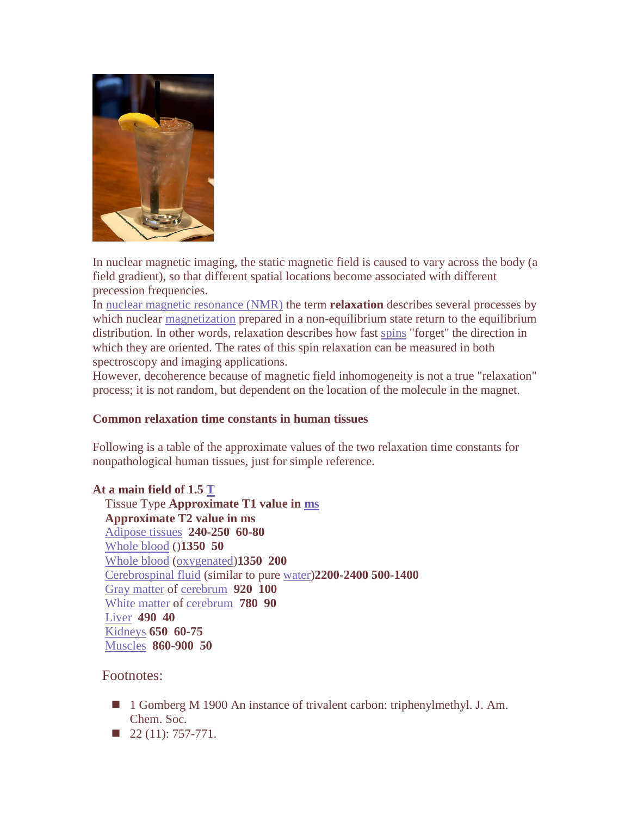

In nuclear magnetic imaging, the static magnetic field is caused to vary across the body (a field gradient), so that different spatial locations become associated with different precession frequencies.

In nuclear magnetic resonance (NMR) the term **relaxation** describes several processes by which nuclear magnetization prepared in a non-equilibrium state return to the equilibrium distribution. In other words, relaxation describes how fast spins "forget" the direction in which they are oriented. The rates of this spin relaxation can be measured in both spectroscopy and imaging applications.

However, decoherence because of magnetic field inhomogeneity is not a true "relaxation" process; it is not random, but dependent on the location of the molecule in the magnet.

### **Common relaxation time constants in human tissues**

Following is a table of the approximate values of the two relaxation time constants for nonpathological human tissues, just for simple reference.

**At a main field of 1.5 T** Tissue Type **Approximate T1 value in ms Approximate T2 value in ms**  Adipose tissues **240-250 60-80**  Whole blood ()**1350 50**  Whole blood (oxygenated)**1350 200**  Cerebrospinal fluid (similar to pure water)**2200-2400 500-1400**  Gray matter of cerebrum **920 100**  White matter of cerebrum **780 90**  Liver **490 40**  Kidneys **650 60-75**  Muscles **860-900 50** 

Footnotes:

- 1 Gomberg M 1900 An instance of trivalent carbon: triphenylmethyl. J. Am. Chem. Soc*.*
- $\blacksquare$  22 (11): 757-771.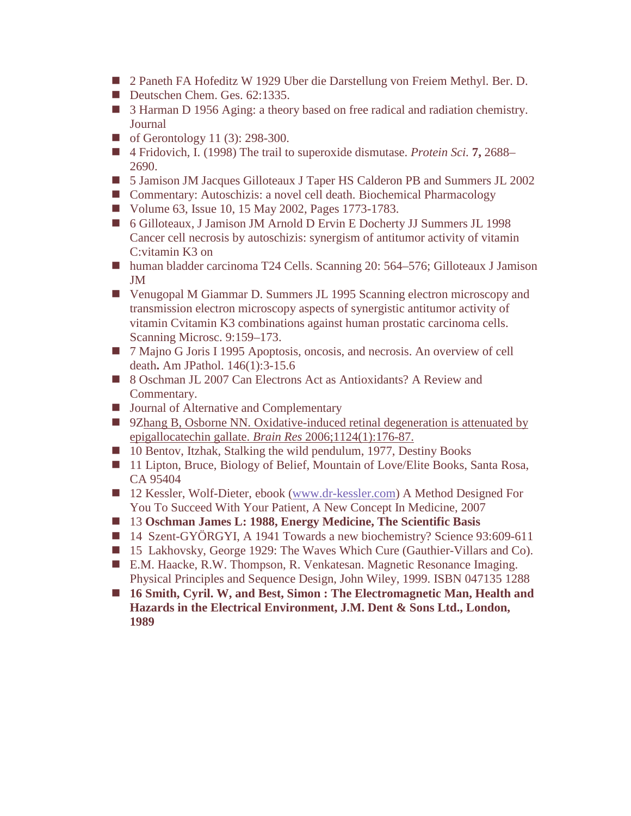- 2 Paneth FA Hofeditz W 1929 Uber die Darstellung von Freiem Methyl. Ber. D.
- Deutschen Chem. Ges. 62:1335.
- 3 Harman D 1956 Aging: a theory based on free radical and radiation chemistry. Journal
- of Gerontology 11 (3):  $298-300$ .
- 4 Fridovich, I. (1998) The trail to superoxide dismutase. *Protein Sci.* **7**, 2688– 2690.
- 5 Jamison JM Jacques Gilloteaux J Taper HS Calderon PB and Summers JL 2002
- Commentary: Autoschizis: a novel cell death. Biochemical Pharmacology
- Volume 63, Issue 10, 15 May 2002, Pages 1773-1783.
- 6 Gilloteaux, J Jamison JM Arnold D Ervin E Docherty JJ Summers JL 1998 Cancer cell necrosis by autoschizis: synergism of antitumor activity of vitamin C:vitamin K3 on
- human bladder carcinoma T24 Cells. Scanning 20: 564–576; Gilloteaux J Jamison JM
- Venugopal M Giammar D. Summers JL 1995 Scanning electron microscopy and transmission electron microscopy aspects of synergistic antitumor activity of vitamin Cvitamin K3 combinations against human prostatic carcinoma cells. Scanning Microsc. 9:159–173.
- 7 Majno G Joris I 1995 Apoptosis, oncosis, and necrosis. An overview of cell death**.** Am JPathol. 146(1):3-15.6
- 8 Oschman JL 2007 Can Electrons Act as Antioxidants? A Review and Commentary.
- Journal of Alternative and Complementary
- **92hang B, Osborne NN. Oxidative-induced retinal degeneration is attenuated by** epigallocatechin gallate. *Brain Res* 2006;1124(1):176-87.
- 10 Bentov, Itzhak, Stalking the wild pendulum, 1977, Destiny Books
- 11 Lipton, Bruce, Biology of Belief, Mountain of Love/Elite Books, Santa Rosa, CA 95404
- 12 Kessler, Wolf-Dieter, ebook (www.dr-kessler.com) A Method Designed For You To Succeed With Your Patient, A New Concept In Medicine, 2007
- 13 Oschman James L: 1988, Energy Medicine, The Scientific Basis
- 14 Szent-GYÖRGYI, A 1941 Towards a new biochemistry? Science 93:609-611
- 15 Lakhovsky, George 1929: The Waves Which Cure (Gauthier-Villars and Co).
- E.M. Haacke, R.W. Thompson, R. Venkatesan. Magnetic Resonance Imaging. Physical Principles and Sequence Design, John Wiley, 1999. ISBN 047135 1288
- **16 Smith, Cyril. W, and Best, Simon : The Electromagnetic Man, Health and Hazards in the Electrical Environment, J.M. Dent & Sons Ltd., London, 1989**